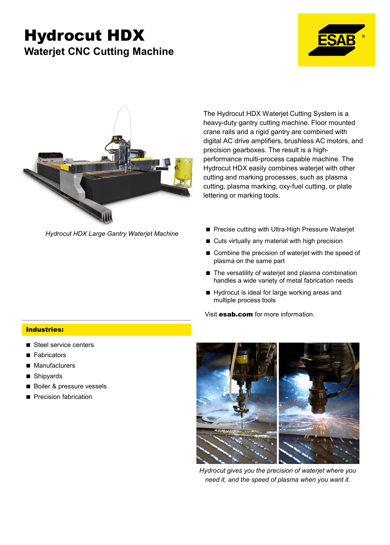## Hydrocut HDX **Waterjet CNC Cutting Machine**





*Hydrocut HDX Large Gantry Waterjet Machine*

The Hydrocut HDX Waterjet Cutting System is a heavy-duty gantry cutting machine. Floor mounted crane rails and a rigid gantry are combined with digital AC drive amplifiers, brushless AC motors, and precision gearboxes. The result is a highperformance multi-process capable machine. The Hydrocut HDX easily combines waterjet with other cutting and marking processes, such as plasma cutting, plasma marking, oxy-fuel cutting, or plate lettering or marking tools.

- Precise cutting with Ultra-High Pressure Waterjet
- Cuts virtually any material with high precision
- Combine the precision of waterjet with the speed of plasma on the same part
- The versatility of waterjet and plasma combination handles a wide variety of metal fabrication needs
- Hydrocut is ideal for large working areas and multiple process tools

Visit **esab.com** for more information.

## Industries:

- Steel service centers
- **Fabricators**
- **Manufacturers**
- Shipyards
- Boiler & pressure vessels
- **Precision fabrication**



*Hydrocut gives you the precision of waterjet where you need it, and the speed of plasma when you want it.*